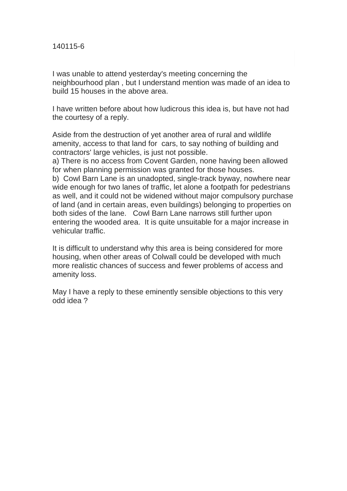I was unable to attend yesterday's meeting concerning the neighbourhood plan , but I understand mention was made of an idea to build 15 houses in the above area.

I have written before about how ludicrous this idea is, but have not had the courtesy of a reply.

Aside from the destruction of yet another area of rural and wildlife amenity, access to that land for cars, to say nothing of building and contractors' large vehicles, is just not possible.

a) There is no access from Covent Garden, none having been allowed for when planning permission was granted for those houses.

b) Cowl Barn Lane is an unadopted, single-track byway, nowhere near wide enough for two lanes of traffic, let alone a footpath for pedestrians as well, and it could not be widened without major compulsory purchase of land (and in certain areas, even buildings) belonging to properties on both sides of the lane. Cowl Barn Lane narrows still further upon entering the wooded area. It is quite unsuitable for a major increase in vehicular traffic.

It is difficult to understand why this area is being considered for more housing, when other areas of Colwall could be developed with much more realistic chances of success and fewer problems of access and amenity loss.

May I have a reply to these eminently sensible objections to this very odd idea ?